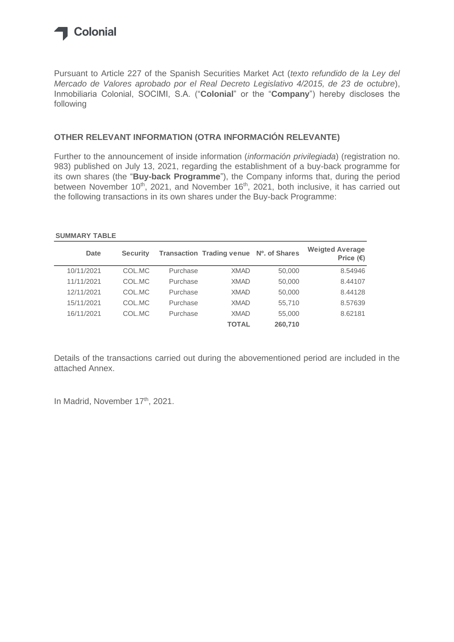

Pursuant to Article 227 of the Spanish Securities Market Act (*texto refundido de la Ley del Mercado de Valores aprobado por el Real Decreto Legislativo 4/2015, de 23 de octubre*), Inmobiliaria Colonial, SOCIMI, S.A. ("**Colonial**" or the "**Company**") hereby discloses the following

#### **OTHER RELEVANT INFORMATION (OTRA INFORMACIÓN RELEVANTE)**

Further to the announcement of inside information (*información privilegiada*) (registration no. 983) published on July 13, 2021, regarding the establishment of a buy-back programme for its own shares (the "**Buy-back Programme**"), the Company informs that, during the period between November 10<sup>th</sup>, 2021, and November 16<sup>th</sup>, 2021, both inclusive, it has carried out the following transactions in its own shares under the Buy-back Programme:

#### **SUMMARY TABLE**

| <b>Date</b> | <b>Security</b> |          | <b>Transaction Trading venue</b> | Nº. of Shares | <b>Weigted Average</b><br>Price $(\epsilon)$ |
|-------------|-----------------|----------|----------------------------------|---------------|----------------------------------------------|
| 10/11/2021  | COL.MC          | Purchase | <b>XMAD</b>                      | 50,000        | 8.54946                                      |
| 11/11/2021  | COL.MC          | Purchase | <b>XMAD</b>                      | 50,000        | 8.44107                                      |
| 12/11/2021  | COL.MC          | Purchase | <b>XMAD</b>                      | 50,000        | 8.44128                                      |
| 15/11/2021  | COL.MC          | Purchase | <b>XMAD</b>                      | 55,710        | 8.57639                                      |
| 16/11/2021  | COL.MC          | Purchase | <b>XMAD</b>                      | 55,000        | 8.62181                                      |
|             |                 |          | <b>TOTAL</b>                     | 260,710       |                                              |

Details of the transactions carried out during the abovementioned period are included in the attached Annex.

In Madrid, November 17<sup>th</sup>, 2021.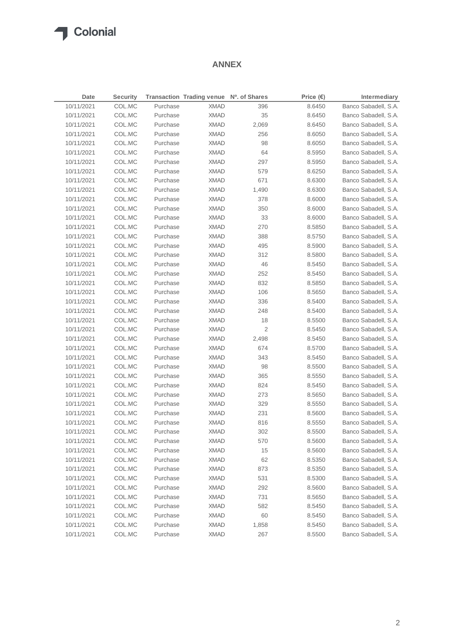#### **ANNEX**

| Date       | <b>Security</b> |          | Transaction Trading venue Nº. of Shares |                | Price $(\epsilon)$ | Intermediary         |
|------------|-----------------|----------|-----------------------------------------|----------------|--------------------|----------------------|
| 10/11/2021 | COL.MC          | Purchase | <b>XMAD</b>                             | 396            | 8.6450             | Banco Sabadell, S.A. |
| 10/11/2021 | COL.MC          | Purchase | <b>XMAD</b>                             | 35             | 8.6450             | Banco Sabadell, S.A. |
| 10/11/2021 | COL.MC          | Purchase | <b>XMAD</b>                             | 2,069          | 8.6450             | Banco Sabadell, S.A. |
| 10/11/2021 | COL.MC          | Purchase | <b>XMAD</b>                             | 256            | 8.6050             | Banco Sabadell, S.A. |
| 10/11/2021 | COL.MC          | Purchase | <b>XMAD</b>                             | 98             | 8.6050             | Banco Sabadell, S.A. |
| 10/11/2021 | COL.MC          | Purchase | <b>XMAD</b>                             | 64             | 8.5950             | Banco Sabadell, S.A. |
| 10/11/2021 | COL.MC          | Purchase | <b>XMAD</b>                             | 297            | 8.5950             | Banco Sabadell, S.A. |
| 10/11/2021 | COL.MC          | Purchase | <b>XMAD</b>                             | 579            | 8.6250             | Banco Sabadell, S.A. |
| 10/11/2021 | COL.MC          | Purchase | <b>XMAD</b>                             | 671            | 8.6300             | Banco Sabadell, S.A. |
| 10/11/2021 | COL.MC          | Purchase | <b>XMAD</b>                             | 1,490          | 8.6300             | Banco Sabadell, S.A. |
| 10/11/2021 | COL.MC          | Purchase | <b>XMAD</b>                             | 378            | 8.6000             | Banco Sabadell, S.A. |
| 10/11/2021 | COL.MC          | Purchase | <b>XMAD</b>                             | 350            | 8.6000             | Banco Sabadell, S.A. |
| 10/11/2021 | COL.MC          | Purchase | <b>XMAD</b>                             | 33             | 8.6000             | Banco Sabadell, S.A. |
| 10/11/2021 | COL.MC          | Purchase | <b>XMAD</b>                             | 270            | 8.5850             | Banco Sabadell, S.A. |
| 10/11/2021 | COL.MC          | Purchase | <b>XMAD</b>                             | 388            | 8.5750             | Banco Sabadell, S.A. |
| 10/11/2021 | COL.MC          | Purchase | <b>XMAD</b>                             | 495            | 8.5900             | Banco Sabadell, S.A. |
| 10/11/2021 | COL.MC          | Purchase | <b>XMAD</b>                             | 312            | 8.5800             | Banco Sabadell, S.A. |
| 10/11/2021 | COL.MC          | Purchase | <b>XMAD</b>                             | 46             | 8.5450             | Banco Sabadell, S.A. |
| 10/11/2021 | COL.MC          | Purchase | <b>XMAD</b>                             | 252            | 8.5450             | Banco Sabadell, S.A. |
| 10/11/2021 | COL.MC          | Purchase | <b>XMAD</b>                             | 832            | 8.5850             | Banco Sabadell, S.A. |
| 10/11/2021 | COL.MC          | Purchase | <b>XMAD</b>                             | 106            | 8.5650             | Banco Sabadell, S.A. |
| 10/11/2021 | COL.MC          | Purchase | <b>XMAD</b>                             | 336            | 8.5400             | Banco Sabadell, S.A. |
| 10/11/2021 | COL.MC          | Purchase | <b>XMAD</b>                             | 248            | 8.5400             | Banco Sabadell, S.A. |
| 10/11/2021 | COL.MC          | Purchase | <b>XMAD</b>                             | 18             | 8.5500             | Banco Sabadell, S.A. |
| 10/11/2021 | COL.MC          | Purchase | <b>XMAD</b>                             | $\overline{2}$ | 8.5450             | Banco Sabadell, S.A. |
| 10/11/2021 | COL.MC          | Purchase | <b>XMAD</b>                             | 2,498          | 8.5450             | Banco Sabadell, S.A. |
| 10/11/2021 | COL.MC          | Purchase | <b>XMAD</b>                             | 674            | 8.5700             | Banco Sabadell, S.A. |
| 10/11/2021 | COL.MC          | Purchase | <b>XMAD</b>                             | 343            | 8.5450             | Banco Sabadell, S.A. |
| 10/11/2021 | COL.MC          | Purchase | <b>XMAD</b>                             | 98             | 8.5500             | Banco Sabadell, S.A. |
| 10/11/2021 | COL.MC          | Purchase | <b>XMAD</b>                             | 365            | 8.5550             | Banco Sabadell, S.A. |
| 10/11/2021 | COL.MC          | Purchase | <b>XMAD</b>                             | 824            | 8.5450             | Banco Sabadell, S.A. |
| 10/11/2021 | COL.MC          | Purchase | <b>XMAD</b>                             | 273            | 8.5650             | Banco Sabadell, S.A. |
| 10/11/2021 | COL.MC          | Purchase | <b>XMAD</b>                             | 329            | 8.5550             | Banco Sabadell, S.A. |
| 10/11/2021 | COL.MC          | Purchase | <b>XMAD</b>                             | 231            | 8.5600             | Banco Sabadell, S.A. |
| 10/11/2021 | COL.MC          | Purchase | <b>XMAD</b>                             | 816            | 8.5550             | Banco Sabadell, S.A. |
| 10/11/2021 | COL.MC          | Purchase | <b>XMAD</b>                             | 302            | 8.5500             | Banco Sabadell, S.A. |
| 10/11/2021 | COL.MC          | Purchase | <b>XMAD</b>                             | 570            | 8.5600             | Banco Sabadell, S.A. |
| 10/11/2021 | COL.MC          | Purchase | <b>XMAD</b>                             | 15             | 8.5600             | Banco Sabadell, S.A. |
| 10/11/2021 | COL.MC          | Purchase | <b>XMAD</b>                             | 62             | 8.5350             | Banco Sabadell, S.A. |
| 10/11/2021 | COL.MC          | Purchase | <b>XMAD</b>                             | 873            | 8.5350             | Banco Sabadell, S.A. |
| 10/11/2021 | COL.MC          | Purchase | <b>XMAD</b>                             | 531            | 8.5300             | Banco Sabadell, S.A. |
| 10/11/2021 | COL.MC          | Purchase | <b>XMAD</b>                             | 292            | 8.5600             | Banco Sabadell, S.A. |
| 10/11/2021 | COL.MC          | Purchase | <b>XMAD</b>                             | 731            | 8.5650             | Banco Sabadell, S.A. |
| 10/11/2021 | COL.MC          | Purchase | <b>XMAD</b>                             | 582            | 8.5450             | Banco Sabadell, S.A. |
| 10/11/2021 | COL.MC          | Purchase | <b>XMAD</b>                             | 60             | 8.5450             | Banco Sabadell, S.A. |
| 10/11/2021 | COL.MC          | Purchase | <b>XMAD</b>                             | 1,858          | 8.5450             | Banco Sabadell, S.A. |
| 10/11/2021 | COL.MC          | Purchase | <b>XMAD</b>                             | 267            | 8.5500             | Banco Sabadell, S.A. |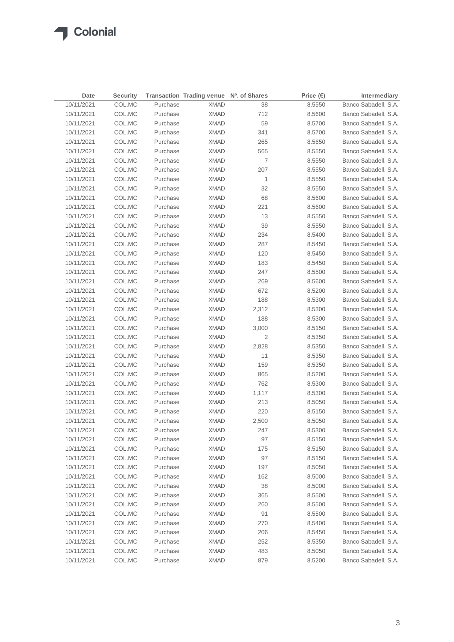| Date       | <b>Security</b> |          | Transaction Trading venue Nº. of Shares |                | Price $(\epsilon)$ | Intermediary         |
|------------|-----------------|----------|-----------------------------------------|----------------|--------------------|----------------------|
| 10/11/2021 | COL.MC          | Purchase | <b>XMAD</b>                             | 38             | 8.5550             | Banco Sabadell, S.A. |
| 10/11/2021 | COL.MC          | Purchase | <b>XMAD</b>                             | 712            | 8.5600             | Banco Sabadell, S.A. |
| 10/11/2021 | COL.MC          | Purchase | <b>XMAD</b>                             | 59             | 8.5700             | Banco Sabadell, S.A. |
| 10/11/2021 | COL.MC          | Purchase | <b>XMAD</b>                             | 341            | 8.5700             | Banco Sabadell, S.A. |
| 10/11/2021 | COL.MC          | Purchase | <b>XMAD</b>                             | 265            | 8.5650             | Banco Sabadell, S.A. |
| 10/11/2021 | COL.MC          | Purchase | <b>XMAD</b>                             | 565            | 8.5550             | Banco Sabadell, S.A. |
| 10/11/2021 | COL.MC          | Purchase | <b>XMAD</b>                             | $\overline{7}$ | 8.5550             | Banco Sabadell, S.A. |
| 10/11/2021 | COL.MC          | Purchase | <b>XMAD</b>                             | 207            | 8.5550             | Banco Sabadell, S.A. |
| 10/11/2021 | COL.MC          | Purchase | <b>XMAD</b>                             | 1              | 8.5550             | Banco Sabadell, S.A. |
| 10/11/2021 | COL.MC          | Purchase | <b>XMAD</b>                             | 32             | 8.5550             | Banco Sabadell, S.A. |
| 10/11/2021 | COL.MC          | Purchase | <b>XMAD</b>                             | 68             | 8.5600             | Banco Sabadell, S.A. |
| 10/11/2021 | COL.MC          | Purchase | <b>XMAD</b>                             | 221            | 8.5600             | Banco Sabadell, S.A. |
| 10/11/2021 | COL.MC          | Purchase | <b>XMAD</b>                             | 13             | 8.5550             | Banco Sabadell, S.A. |
| 10/11/2021 | COL.MC          | Purchase | <b>XMAD</b>                             | 39             | 8.5550             | Banco Sabadell, S.A. |
| 10/11/2021 | COL.MC          | Purchase | <b>XMAD</b>                             | 234            | 8.5400             | Banco Sabadell, S.A. |
| 10/11/2021 | COL.MC          | Purchase | <b>XMAD</b>                             | 287            | 8.5450             | Banco Sabadell, S.A. |
| 10/11/2021 | COL.MC          | Purchase | <b>XMAD</b>                             | 120            | 8.5450             | Banco Sabadell, S.A. |
| 10/11/2021 | COL.MC          | Purchase | <b>XMAD</b>                             | 183            | 8.5450             | Banco Sabadell, S.A. |
| 10/11/2021 | COL.MC          | Purchase | <b>XMAD</b>                             | 247            | 8.5500             | Banco Sabadell, S.A. |
| 10/11/2021 | COL.MC          | Purchase | <b>XMAD</b>                             | 269            | 8.5600             | Banco Sabadell, S.A. |
| 10/11/2021 | COL.MC          | Purchase | <b>XMAD</b>                             | 672            | 8.5200             | Banco Sabadell, S.A. |
| 10/11/2021 | COL.MC          | Purchase | <b>XMAD</b>                             | 188            | 8.5300             | Banco Sabadell, S.A. |
| 10/11/2021 | COL.MC          | Purchase | <b>XMAD</b>                             | 2,312          | 8.5300             | Banco Sabadell, S.A. |
| 10/11/2021 | COL.MC          | Purchase | <b>XMAD</b>                             | 188            | 8.5300             | Banco Sabadell, S.A. |
| 10/11/2021 | COL.MC          | Purchase | XMAD                                    | 3,000          | 8.5150             | Banco Sabadell, S.A. |
| 10/11/2021 | COL.MC          | Purchase | <b>XMAD</b>                             | $\overline{2}$ | 8.5350             | Banco Sabadell, S.A. |
| 10/11/2021 | COL.MC          | Purchase | XMAD                                    | 2,828          | 8.5350             | Banco Sabadell, S.A. |
| 10/11/2021 | COL.MC          | Purchase | <b>XMAD</b>                             | 11             | 8.5350             | Banco Sabadell, S.A. |
| 10/11/2021 | COL.MC          | Purchase | <b>XMAD</b>                             | 159            | 8.5350             | Banco Sabadell, S.A. |
| 10/11/2021 | COL.MC          | Purchase | XMAD                                    | 865            | 8.5200             | Banco Sabadell, S.A. |
| 10/11/2021 | COL.MC          | Purchase | <b>XMAD</b>                             | 762            | 8.5300             | Banco Sabadell, S.A. |
| 10/11/2021 | COL.MC          | Purchase | XMAD                                    | 1,117          | 8.5300             | Banco Sabadell, S.A. |
| 10/11/2021 | COL.MC          | Purchase | <b>XMAD</b>                             | 213            | 8.5050             | Banco Sabadell, S.A. |
| 10/11/2021 | COL.MC          | Purchase | XMAD                                    | 220            | 8.5150             | Banco Sabadell, S.A. |
| 10/11/2021 | COL.MC          | Purchase | <b>XMAD</b>                             | 2,500          | 8.5050             | Banco Sabadell, S.A. |
| 10/11/2021 | COL.MC          | Purchase | <b>XMAD</b>                             | 247            | 8.5300             | Banco Sabadell, S.A. |
| 10/11/2021 | COL.MC          | Purchase | <b>XMAD</b>                             | 97             | 8.5150             | Banco Sabadell, S.A. |
| 10/11/2021 | COL.MC          | Purchase | <b>XMAD</b>                             | 175            | 8.5150             | Banco Sabadell, S.A. |
| 10/11/2021 | COL.MC          | Purchase | <b>XMAD</b>                             | 97             | 8.5150             | Banco Sabadell, S.A. |
| 10/11/2021 | COL.MC          | Purchase | <b>XMAD</b>                             | 197            | 8.5050             | Banco Sabadell, S.A. |
| 10/11/2021 | COL.MC          | Purchase | <b>XMAD</b>                             | 162            | 8.5000             | Banco Sabadell, S.A. |
| 10/11/2021 | COL.MC          | Purchase | <b>XMAD</b>                             | 38             | 8.5000             | Banco Sabadell, S.A. |
| 10/11/2021 | COL.MC          | Purchase | <b>XMAD</b>                             | 365            | 8.5500             | Banco Sabadell, S.A. |
| 10/11/2021 | COL.MC          | Purchase | <b>XMAD</b>                             | 260            | 8.5500             | Banco Sabadell, S.A. |
| 10/11/2021 | COL.MC          | Purchase | <b>XMAD</b>                             | 91             | 8.5500             | Banco Sabadell, S.A. |
| 10/11/2021 | COL.MC          | Purchase | <b>XMAD</b>                             | 270            | 8.5400             | Banco Sabadell, S.A. |
| 10/11/2021 | COL.MC          | Purchase | <b>XMAD</b>                             | 206            | 8.5450             | Banco Sabadell, S.A. |
| 10/11/2021 | COL.MC          | Purchase | <b>XMAD</b>                             | 252            | 8.5350             | Banco Sabadell, S.A. |
| 10/11/2021 | COL.MC          | Purchase | <b>XMAD</b>                             | 483            | 8.5050             | Banco Sabadell, S.A. |
| 10/11/2021 | COL.MC          | Purchase | <b>XMAD</b>                             | 879            | 8.5200             | Banco Sabadell, S.A. |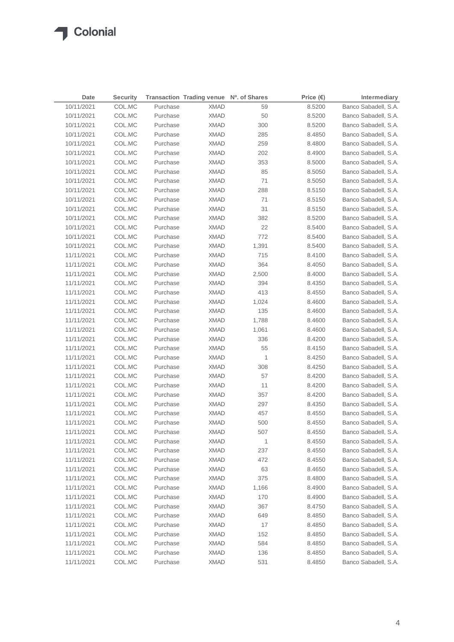| Date       | <b>Security</b> |          | Transaction Trading venue Nº. of Shares |       | Price $(\epsilon)$ | Intermediary         |
|------------|-----------------|----------|-----------------------------------------|-------|--------------------|----------------------|
| 10/11/2021 | COL.MC          | Purchase | <b>XMAD</b>                             | 59    | 8.5200             | Banco Sabadell, S.A. |
| 10/11/2021 | COL.MC          | Purchase | <b>XMAD</b>                             | 50    | 8.5200             | Banco Sabadell, S.A. |
| 10/11/2021 | COL.MC          | Purchase | <b>XMAD</b>                             | 300   | 8.5200             | Banco Sabadell, S.A. |
| 10/11/2021 | COL.MC          | Purchase | <b>XMAD</b>                             | 285   | 8.4850             | Banco Sabadell, S.A. |
| 10/11/2021 | COL.MC          | Purchase | <b>XMAD</b>                             | 259   | 8.4800             | Banco Sabadell, S.A. |
| 10/11/2021 | COL.MC          | Purchase | XMAD                                    | 202   | 8.4900             | Banco Sabadell, S.A. |
| 10/11/2021 | COL.MC          | Purchase | XMAD                                    | 353   | 8.5000             | Banco Sabadell, S.A. |
| 10/11/2021 | COL.MC          | Purchase | <b>XMAD</b>                             | 85    | 8.5050             | Banco Sabadell, S.A. |
| 10/11/2021 | COL.MC          | Purchase | <b>XMAD</b>                             | 71    | 8.5050             | Banco Sabadell, S.A. |
| 10/11/2021 | COL.MC          | Purchase | <b>XMAD</b>                             | 288   | 8.5150             | Banco Sabadell, S.A. |
| 10/11/2021 | COL.MC          | Purchase | XMAD                                    | 71    | 8.5150             | Banco Sabadell, S.A. |
| 10/11/2021 | COL.MC          | Purchase | XMAD                                    | 31    | 8.5150             | Banco Sabadell, S.A. |
| 10/11/2021 | COL.MC          | Purchase | XMAD                                    | 382   | 8.5200             | Banco Sabadell, S.A. |
| 10/11/2021 | COL.MC          | Purchase | XMAD                                    | 22    | 8.5400             | Banco Sabadell, S.A. |
| 10/11/2021 | COL.MC          | Purchase | XMAD                                    | 772   | 8.5400             | Banco Sabadell, S.A. |
| 10/11/2021 | COL.MC          | Purchase | <b>XMAD</b>                             | 1,391 | 8.5400             | Banco Sabadell, S.A. |
| 11/11/2021 | COL.MC          | Purchase | <b>XMAD</b>                             | 715   | 8.4100             | Banco Sabadell, S.A. |
| 11/11/2021 | COL.MC          | Purchase | <b>XMAD</b>                             | 364   | 8.4050             | Banco Sabadell, S.A. |
| 11/11/2021 | COL.MC          | Purchase | <b>XMAD</b>                             | 2,500 | 8.4000             | Banco Sabadell, S.A. |
| 11/11/2021 | COL.MC          | Purchase | <b>XMAD</b>                             | 394   | 8.4350             | Banco Sabadell, S.A. |
| 11/11/2021 | COL.MC          | Purchase | XMAD                                    | 413   | 8.4550             | Banco Sabadell, S.A. |
| 11/11/2021 | COL.MC          | Purchase | XMAD                                    | 1,024 | 8.4600             | Banco Sabadell, S.A. |
| 11/11/2021 | COL.MC          | Purchase | XMAD                                    | 135   | 8.4600             | Banco Sabadell, S.A. |
| 11/11/2021 | COL.MC          | Purchase | XMAD                                    | 1,788 | 8.4600             | Banco Sabadell, S.A. |
| 11/11/2021 | COL.MC          | Purchase | XMAD                                    | 1,061 | 8.4600             | Banco Sabadell, S.A. |
| 11/11/2021 | COL.MC          | Purchase | <b>XMAD</b>                             | 336   | 8.4200             | Banco Sabadell, S.A. |
| 11/11/2021 | COL.MC          | Purchase | XMAD                                    | 55    | 8.4150             | Banco Sabadell, S.A. |
| 11/11/2021 | COL.MC          | Purchase | <b>XMAD</b>                             | 1     | 8.4250             | Banco Sabadell, S.A. |
| 11/11/2021 | COL.MC          | Purchase | <b>XMAD</b>                             | 308   | 8.4250             | Banco Sabadell, S.A. |
| 11/11/2021 | COL.MC          | Purchase | XMAD                                    | 57    | 8.4200             | Banco Sabadell, S.A. |
| 11/11/2021 | COL.MC          | Purchase | XMAD                                    | 11    | 8.4200             | Banco Sabadell, S.A. |
| 11/11/2021 | COL.MC          | Purchase | <b>XMAD</b>                             | 357   | 8.4200             | Banco Sabadell, S.A. |
| 11/11/2021 | COL.MC          | Purchase | <b>XMAD</b>                             | 297   | 8.4350             | Banco Sabadell, S.A. |
| 11/11/2021 | COL.MC          | Purchase | <b>XMAD</b>                             | 457   | 8.4550             | Banco Sabadell, S.A. |
| 11/11/2021 | COL.MC          | Purchase | <b>XMAD</b>                             | 500   | 8.4550             | Banco Sabadell, S.A. |
| 11/11/2021 | COL.MC          | Purchase | <b>XMAD</b>                             | 507   | 8.4550             | Banco Sabadell, S.A. |
| 11/11/2021 | COL.MC          | Purchase | <b>XMAD</b>                             | 1     | 8.4550             | Banco Sabadell, S.A. |
| 11/11/2021 | COL.MC          | Purchase | <b>XMAD</b>                             | 237   | 8.4550             | Banco Sabadell, S.A. |
| 11/11/2021 | COL.MC          | Purchase | <b>XMAD</b>                             | 472   | 8.4550             | Banco Sabadell, S.A. |
| 11/11/2021 | COL.MC          | Purchase | <b>XMAD</b>                             | 63    | 8.4650             | Banco Sabadell, S.A. |
| 11/11/2021 | COL.MC          | Purchase | <b>XMAD</b>                             | 375   | 8.4800             | Banco Sabadell, S.A. |
| 11/11/2021 | COL.MC          | Purchase | <b>XMAD</b>                             | 1,166 | 8.4900             | Banco Sabadell, S.A. |
| 11/11/2021 | COL.MC          | Purchase | <b>XMAD</b>                             | 170   | 8.4900             | Banco Sabadell, S.A. |
| 11/11/2021 | COL.MC          | Purchase | <b>XMAD</b>                             | 367   | 8.4750             | Banco Sabadell, S.A. |
| 11/11/2021 | COL.MC          | Purchase | <b>XMAD</b>                             | 649   | 8.4850             | Banco Sabadell, S.A. |
| 11/11/2021 | COL.MC          | Purchase | <b>XMAD</b>                             | 17    | 8.4850             | Banco Sabadell, S.A. |
| 11/11/2021 | COL.MC          | Purchase | <b>XMAD</b>                             | 152   | 8.4850             | Banco Sabadell, S.A. |
| 11/11/2021 | COL.MC          | Purchase | <b>XMAD</b>                             | 584   | 8.4850             | Banco Sabadell, S.A. |
| 11/11/2021 | COL.MC          | Purchase | <b>XMAD</b>                             | 136   | 8.4850             | Banco Sabadell, S.A. |
| 11/11/2021 | COL.MC          | Purchase | <b>XMAD</b>                             | 531   | 8.4850             | Banco Sabadell, S.A. |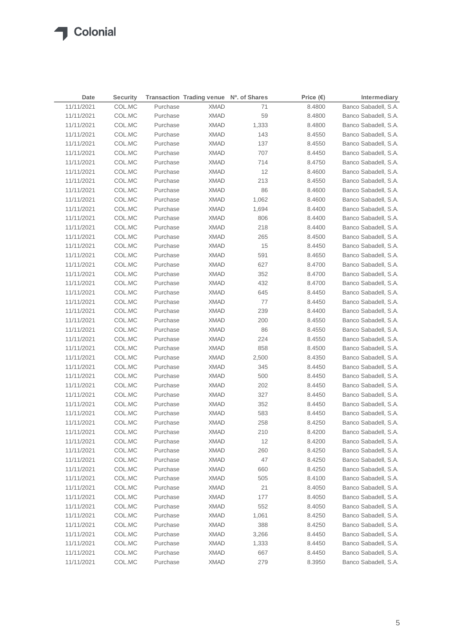$\sqrt{2}$ 

| Date       | <b>Security</b> |          | Transaction Trading venue Nº. of Shares |       | Price $(\epsilon)$ | Intermediary         |
|------------|-----------------|----------|-----------------------------------------|-------|--------------------|----------------------|
| 11/11/2021 | COL.MC          | Purchase | <b>XMAD</b>                             | 71    | 8.4800             | Banco Sabadell, S.A. |
| 11/11/2021 | COL.MC          | Purchase | <b>XMAD</b>                             | 59    | 8.4800             | Banco Sabadell, S.A. |
| 11/11/2021 | COL.MC          | Purchase | <b>XMAD</b>                             | 1,333 | 8.4800             | Banco Sabadell, S.A. |
| 11/11/2021 | COL.MC          | Purchase | <b>XMAD</b>                             | 143   | 8.4550             | Banco Sabadell, S.A. |
| 11/11/2021 | COL.MC          | Purchase | <b>XMAD</b>                             | 137   | 8.4550             | Banco Sabadell, S.A. |
| 11/11/2021 | COL.MC          | Purchase | <b>XMAD</b>                             | 707   | 8.4450             | Banco Sabadell, S.A. |
| 11/11/2021 | COL.MC          | Purchase | <b>XMAD</b>                             | 714   | 8.4750             | Banco Sabadell, S.A. |
| 11/11/2021 | COL.MC          | Purchase | <b>XMAD</b>                             | 12    | 8.4600             | Banco Sabadell, S.A. |
| 11/11/2021 | COL.MC          | Purchase | <b>XMAD</b>                             | 213   | 8.4550             | Banco Sabadell, S.A. |
| 11/11/2021 | COL.MC          | Purchase | <b>XMAD</b>                             | 86    | 8.4600             | Banco Sabadell, S.A. |
| 11/11/2021 | COL.MC          | Purchase | <b>XMAD</b>                             | 1,062 | 8.4600             | Banco Sabadell, S.A. |
| 11/11/2021 | COL.MC          | Purchase | <b>XMAD</b>                             | 1,694 | 8.4400             | Banco Sabadell, S.A. |
| 11/11/2021 | COL.MC          | Purchase | <b>XMAD</b>                             | 806   | 8.4400             | Banco Sabadell, S.A. |
| 11/11/2021 | COL.MC          | Purchase | <b>XMAD</b>                             | 218   | 8.4400             | Banco Sabadell, S.A. |
| 11/11/2021 | COL.MC          | Purchase | <b>XMAD</b>                             | 265   | 8.4500             | Banco Sabadell, S.A. |
| 11/11/2021 | COL.MC          | Purchase | <b>XMAD</b>                             | 15    | 8.4450             | Banco Sabadell, S.A. |
| 11/11/2021 | COL.MC          | Purchase | <b>XMAD</b>                             | 591   | 8.4650             | Banco Sabadell, S.A. |
| 11/11/2021 | COL.MC          | Purchase | <b>XMAD</b>                             | 627   | 8.4700             | Banco Sabadell, S.A. |
| 11/11/2021 | COL.MC          | Purchase | <b>XMAD</b>                             | 352   | 8.4700             | Banco Sabadell, S.A. |
| 11/11/2021 | COL.MC          | Purchase | <b>XMAD</b>                             | 432   | 8.4700             | Banco Sabadell, S.A. |
| 11/11/2021 | COL.MC          | Purchase | <b>XMAD</b>                             | 645   | 8.4450             | Banco Sabadell, S.A. |
| 11/11/2021 | COL.MC          | Purchase | <b>XMAD</b>                             | 77    | 8.4450             | Banco Sabadell, S.A. |
| 11/11/2021 | COL.MC          | Purchase | <b>XMAD</b>                             | 239   | 8.4400             | Banco Sabadell, S.A. |
| 11/11/2021 | COL.MC          | Purchase | <b>XMAD</b>                             | 200   | 8.4550             | Banco Sabadell, S.A. |
| 11/11/2021 | COL.MC          | Purchase | XMAD                                    | 86    | 8.4550             | Banco Sabadell, S.A. |
| 11/11/2021 | COL.MC          | Purchase | XMAD                                    | 224   | 8.4550             | Banco Sabadell, S.A. |
| 11/11/2021 | COL.MC          | Purchase | XMAD                                    | 858   | 8.4500             | Banco Sabadell, S.A. |
| 11/11/2021 | COL.MC          | Purchase | <b>XMAD</b>                             | 2,500 | 8.4350             | Banco Sabadell, S.A. |
| 11/11/2021 | COL.MC          | Purchase | <b>XMAD</b>                             | 345   | 8.4450             | Banco Sabadell, S.A. |
| 11/11/2021 | COL.MC          | Purchase | <b>XMAD</b>                             | 500   | 8.4450             | Banco Sabadell, S.A. |
| 11/11/2021 | COL.MC          | Purchase | <b>XMAD</b>                             | 202   | 8.4450             | Banco Sabadell, S.A. |
| 11/11/2021 | COL.MC          | Purchase | <b>XMAD</b>                             | 327   | 8.4450             | Banco Sabadell, S.A. |
| 11/11/2021 | COL.MC          | Purchase | <b>XMAD</b>                             | 352   | 8.4450             | Banco Sabadell, S.A. |
| 11/11/2021 | COL.MC          | Purchase | <b>XMAD</b>                             | 583   | 8.4450             | Banco Sabadell, S.A. |
| 11/11/2021 | COL.MC          | Purchase | XMAD                                    | 258   | 8.4250             | Banco Sabadell, S.A. |
| 11/11/2021 | COL.MC          | Purchase | <b>XMAD</b>                             | 210   | 8.4200             | Banco Sabadell, S.A. |
| 11/11/2021 | COL.MC          | Purchase | <b>XMAD</b>                             | 12    | 8.4200             | Banco Sabadell, S.A. |
| 11/11/2021 | COL.MC          | Purchase | <b>XMAD</b>                             | 260   | 8.4250             | Banco Sabadell, S.A. |
| 11/11/2021 | COL.MC          | Purchase | <b>XMAD</b>                             | 47    | 8.4250             | Banco Sabadell, S.A. |
| 11/11/2021 | COL.MC          | Purchase | <b>XMAD</b>                             | 660   | 8.4250             | Banco Sabadell, S.A. |
| 11/11/2021 | COL.MC          | Purchase | <b>XMAD</b>                             | 505   | 8.4100             | Banco Sabadell, S.A. |
| 11/11/2021 | COL.MC          | Purchase | <b>XMAD</b>                             | 21    | 8.4050             | Banco Sabadell, S.A. |
| 11/11/2021 | COL.MC          | Purchase | <b>XMAD</b>                             | 177   | 8.4050             | Banco Sabadell, S.A. |
| 11/11/2021 | COL.MC          | Purchase | <b>XMAD</b>                             | 552   | 8.4050             | Banco Sabadell, S.A. |
| 11/11/2021 | COL.MC          | Purchase | <b>XMAD</b>                             | 1,061 | 8.4250             | Banco Sabadell, S.A. |
| 11/11/2021 | COL.MC          | Purchase | <b>XMAD</b>                             | 388   | 8.4250             | Banco Sabadell, S.A. |
| 11/11/2021 | COL.MC          | Purchase | <b>XMAD</b>                             | 3,266 | 8.4450             | Banco Sabadell, S.A. |
| 11/11/2021 | COL.MC          | Purchase | <b>XMAD</b>                             | 1,333 | 8.4450             | Banco Sabadell, S.A. |
| 11/11/2021 | COL.MC          | Purchase | <b>XMAD</b>                             | 667   | 8.4450             | Banco Sabadell, S.A. |
| 11/11/2021 | COL.MC          | Purchase | <b>XMAD</b>                             | 279   | 8.3950             | Banco Sabadell, S.A. |
|            |                 |          |                                         |       |                    |                      |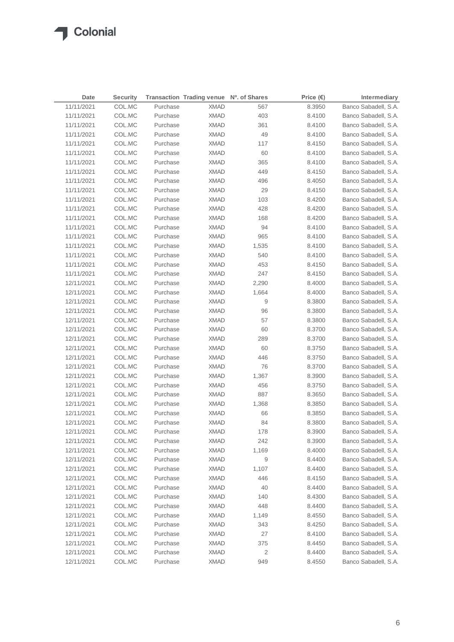| Date       | <b>Security</b> |          | Transaction Trading venue Nº. of Shares |       | Price $(\epsilon)$ | Intermediary         |
|------------|-----------------|----------|-----------------------------------------|-------|--------------------|----------------------|
| 11/11/2021 | COL.MC          | Purchase | <b>XMAD</b>                             | 567   | 8.3950             | Banco Sabadell, S.A. |
| 11/11/2021 | COL.MC          | Purchase | <b>XMAD</b>                             | 403   | 8.4100             | Banco Sabadell, S.A. |
| 11/11/2021 | COL.MC          | Purchase | <b>XMAD</b>                             | 361   | 8.4100             | Banco Sabadell, S.A. |
| 11/11/2021 | COL.MC          | Purchase | <b>XMAD</b>                             | 49    | 8.4100             | Banco Sabadell, S.A. |
| 11/11/2021 | COL.MC          | Purchase | <b>XMAD</b>                             | 117   | 8.4150             | Banco Sabadell, S.A. |
| 11/11/2021 | COL.MC          | Purchase | <b>XMAD</b>                             | 60    | 8.4100             | Banco Sabadell, S.A. |
| 11/11/2021 | COL.MC          | Purchase | <b>XMAD</b>                             | 365   | 8.4100             | Banco Sabadell, S.A. |
| 11/11/2021 | COL.MC          | Purchase | <b>XMAD</b>                             | 449   | 8.4150             | Banco Sabadell, S.A. |
| 11/11/2021 | COL.MC          | Purchase | <b>XMAD</b>                             | 496   | 8.4050             | Banco Sabadell, S.A. |
| 11/11/2021 | COL.MC          | Purchase | <b>XMAD</b>                             | 29    | 8.4150             | Banco Sabadell, S.A. |
| 11/11/2021 | COL.MC          | Purchase | <b>XMAD</b>                             | 103   | 8.4200             | Banco Sabadell, S.A. |
| 11/11/2021 | COL.MC          | Purchase | <b>XMAD</b>                             | 428   | 8.4200             | Banco Sabadell, S.A. |
| 11/11/2021 | COL.MC          | Purchase | <b>XMAD</b>                             | 168   | 8.4200             | Banco Sabadell, S.A. |
| 11/11/2021 | COL.MC          | Purchase | <b>XMAD</b>                             | 94    | 8.4100             | Banco Sabadell, S.A. |
| 11/11/2021 | COL.MC          | Purchase | <b>XMAD</b>                             | 965   | 8.4100             | Banco Sabadell, S.A. |
| 11/11/2021 | COL.MC          | Purchase | <b>XMAD</b>                             | 1,535 | 8.4100             | Banco Sabadell, S.A. |
| 11/11/2021 | COL.MC          | Purchase | <b>XMAD</b>                             | 540   | 8.4100             | Banco Sabadell, S.A. |
| 11/11/2021 | COL.MC          | Purchase | <b>XMAD</b>                             | 453   | 8.4150             | Banco Sabadell, S.A. |
| 11/11/2021 | COL.MC          | Purchase | <b>XMAD</b>                             | 247   | 8.4150             | Banco Sabadell, S.A. |
| 12/11/2021 | COL.MC          | Purchase | <b>XMAD</b>                             | 2,290 | 8.4000             | Banco Sabadell, S.A. |
| 12/11/2021 | COL.MC          | Purchase | <b>XMAD</b>                             | 1,664 | 8.4000             | Banco Sabadell, S.A. |
| 12/11/2021 | COL.MC          | Purchase | <b>XMAD</b>                             | 9     | 8.3800             | Banco Sabadell, S.A. |
| 12/11/2021 | COL.MC          | Purchase | <b>XMAD</b>                             | 96    | 8.3800             | Banco Sabadell, S.A. |
| 12/11/2021 | COL.MC          | Purchase | <b>XMAD</b>                             | 57    | 8.3800             | Banco Sabadell, S.A. |
| 12/11/2021 | COL.MC          | Purchase | <b>XMAD</b>                             | 60    | 8.3700             | Banco Sabadell, S.A. |
| 12/11/2021 | COL.MC          | Purchase | <b>XMAD</b>                             | 289   | 8.3700             | Banco Sabadell, S.A. |
| 12/11/2021 | COL.MC          | Purchase | <b>XMAD</b>                             | 60    | 8.3750             | Banco Sabadell, S.A. |
| 12/11/2021 | COL.MC          | Purchase | <b>XMAD</b>                             | 446   | 8.3750             | Banco Sabadell, S.A. |
| 12/11/2021 | COL.MC          | Purchase | XMAD                                    | 76    | 8.3700             | Banco Sabadell, S.A. |
| 12/11/2021 | COL.MC          | Purchase | XMAD                                    | 1,367 | 8.3900             | Banco Sabadell, S.A. |
| 12/11/2021 | COL.MC          | Purchase | <b>XMAD</b>                             | 456   | 8.3750             | Banco Sabadell, S.A. |
| 12/11/2021 | COL.MC          | Purchase | <b>XMAD</b>                             | 887   | 8.3650             | Banco Sabadell, S.A. |
| 12/11/2021 | COL.MC          | Purchase | XMAD                                    | 1,368 | 8.3850             | Banco Sabadell, S.A. |
| 12/11/2021 | COL.MC          | Purchase | <b>XMAD</b>                             | 66    | 8.3850             | Banco Sabadell, S.A. |
| 12/11/2021 | COL.MC          | Purchase | <b>XMAD</b>                             | 84    | 8.3800             | Banco Sabadell, S.A. |
| 12/11/2021 | COL.MC          | Purchase | <b>XMAD</b>                             | 178   | 8.3900             | Banco Sabadell, S.A. |
| 12/11/2021 | COL.MC          | Purchase | <b>XMAD</b>                             | 242   | 8.3900             | Banco Sabadell, S.A. |
| 12/11/2021 | COL.MC          | Purchase | <b>XMAD</b>                             | 1,169 | 8.4000             | Banco Sabadell, S.A. |
| 12/11/2021 | COL.MC          | Purchase | <b>XMAD</b>                             | 9     | 8.4400             | Banco Sabadell, S.A. |
| 12/11/2021 | COL.MC          | Purchase | <b>XMAD</b>                             | 1,107 | 8.4400             | Banco Sabadell, S.A. |
| 12/11/2021 | COL.MC          | Purchase | <b>XMAD</b>                             | 446   | 8.4150             | Banco Sabadell, S.A. |
| 12/11/2021 | COL.MC          | Purchase | <b>XMAD</b>                             | 40    | 8.4400             | Banco Sabadell, S.A. |
| 12/11/2021 | COL.MC          | Purchase | <b>XMAD</b>                             | 140   | 8.4300             | Banco Sabadell, S.A. |
| 12/11/2021 | COL.MC          | Purchase | <b>XMAD</b>                             | 448   | 8.4400             | Banco Sabadell, S.A. |
| 12/11/2021 | COL.MC          | Purchase | <b>XMAD</b>                             | 1,149 | 8.4550             | Banco Sabadell, S.A. |
| 12/11/2021 | COL.MC          | Purchase | <b>XMAD</b>                             | 343   | 8.4250             | Banco Sabadell, S.A. |
| 12/11/2021 | COL.MC          | Purchase | <b>XMAD</b>                             | 27    | 8.4100             | Banco Sabadell, S.A. |
| 12/11/2021 | COL.MC          | Purchase | <b>XMAD</b>                             | 375   | 8.4450             | Banco Sabadell, S.A. |
| 12/11/2021 | COL.MC          | Purchase | <b>XMAD</b>                             | 2     | 8.4400             | Banco Sabadell, S.A. |
| 12/11/2021 | COL.MC          | Purchase | <b>XMAD</b>                             | 949   | 8.4550             | Banco Sabadell, S.A. |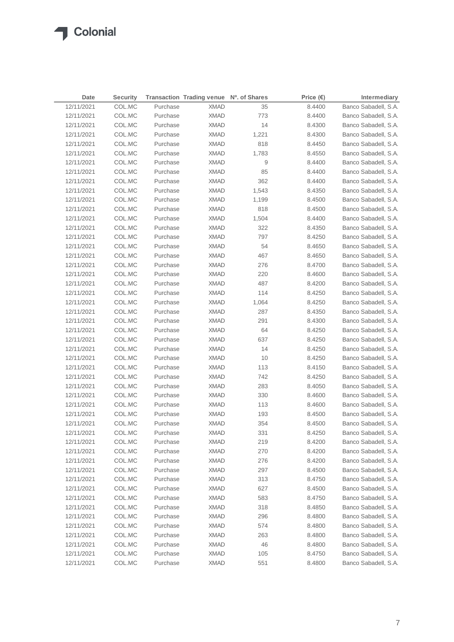| Date       | <b>Security</b> |          | Transaction Trading venue Nº. of Shares |       | Price $(\epsilon)$ | Intermediary         |
|------------|-----------------|----------|-----------------------------------------|-------|--------------------|----------------------|
| 12/11/2021 | COL.MC          | Purchase | <b>XMAD</b>                             | 35    | 8.4400             | Banco Sabadell, S.A. |
| 12/11/2021 | COL.MC          | Purchase | <b>XMAD</b>                             | 773   | 8.4400             | Banco Sabadell, S.A. |
| 12/11/2021 | COL.MC          | Purchase | <b>XMAD</b>                             | 14    | 8.4300             | Banco Sabadell, S.A. |
| 12/11/2021 | COL.MC          | Purchase | <b>XMAD</b>                             | 1,221 | 8.4300             | Banco Sabadell, S.A. |
| 12/11/2021 | COL.MC          | Purchase | <b>XMAD</b>                             | 818   | 8.4450             | Banco Sabadell, S.A. |
| 12/11/2021 | COL.MC          | Purchase | <b>XMAD</b>                             | 1,783 | 8.4550             | Banco Sabadell, S.A. |
| 12/11/2021 | COL.MC          | Purchase | XMAD                                    | 9     | 8.4400             | Banco Sabadell, S.A. |
| 12/11/2021 | COL.MC          | Purchase | XMAD                                    | 85    | 8.4400             | Banco Sabadell, S.A. |
| 12/11/2021 | COL.MC          | Purchase | XMAD                                    | 362   | 8.4400             | Banco Sabadell, S.A. |
| 12/11/2021 | COL.MC          | Purchase | <b>XMAD</b>                             | 1,543 | 8.4350             | Banco Sabadell, S.A. |
| 12/11/2021 | COL.MC          | Purchase | <b>XMAD</b>                             | 1,199 | 8.4500             | Banco Sabadell, S.A. |
| 12/11/2021 | COL.MC          | Purchase | <b>XMAD</b>                             | 818   | 8.4500             | Banco Sabadell, S.A. |
| 12/11/2021 | COL.MC          | Purchase | <b>XMAD</b>                             | 1,504 | 8.4400             | Banco Sabadell, S.A. |
| 12/11/2021 | COL.MC          | Purchase | <b>XMAD</b>                             | 322   | 8.4350             | Banco Sabadell, S.A. |
| 12/11/2021 | COL.MC          | Purchase | <b>XMAD</b>                             | 797   | 8.4250             | Banco Sabadell, S.A. |
| 12/11/2021 | COL.MC          | Purchase | <b>XMAD</b>                             | 54    | 8.4650             | Banco Sabadell, S.A. |
| 12/11/2021 | COL.MC          | Purchase | <b>XMAD</b>                             | 467   | 8.4650             | Banco Sabadell, S.A. |
| 12/11/2021 | COL.MC          | Purchase | <b>XMAD</b>                             | 276   | 8.4700             | Banco Sabadell, S.A. |
| 12/11/2021 | COL.MC          | Purchase | <b>XMAD</b>                             | 220   | 8.4600             | Banco Sabadell, S.A. |
| 12/11/2021 | COL.MC          | Purchase | <b>XMAD</b>                             | 487   | 8.4200             | Banco Sabadell, S.A. |
| 12/11/2021 | COL.MC          | Purchase | XMAD                                    | 114   | 8.4250             | Banco Sabadell, S.A. |
| 12/11/2021 | COL.MC          | Purchase | <b>XMAD</b>                             | 1,064 | 8.4250             | Banco Sabadell, S.A. |
| 12/11/2021 | COL.MC          | Purchase | XMAD                                    | 287   | 8.4350             | Banco Sabadell, S.A. |
| 12/11/2021 | COL.MC          | Purchase | <b>XMAD</b>                             | 291   | 8.4300             | Banco Sabadell, S.A. |
| 12/11/2021 | COL.MC          | Purchase | <b>XMAD</b>                             | 64    | 8.4250             | Banco Sabadell, S.A. |
| 12/11/2021 | COL.MC          | Purchase | <b>XMAD</b>                             | 637   | 8.4250             | Banco Sabadell, S.A. |
| 12/11/2021 | COL.MC          | Purchase | <b>XMAD</b>                             | 14    | 8.4250             | Banco Sabadell, S.A. |
| 12/11/2021 | COL.MC          | Purchase | <b>XMAD</b>                             | 10    | 8.4250             | Banco Sabadell, S.A. |
| 12/11/2021 | COL.MC          | Purchase | <b>XMAD</b>                             | 113   | 8.4150             | Banco Sabadell, S.A. |
| 12/11/2021 | COL.MC          | Purchase | <b>XMAD</b>                             | 742   | 8.4250             | Banco Sabadell, S.A. |
| 12/11/2021 | COL.MC          | Purchase | <b>XMAD</b>                             | 283   | 8.4050             | Banco Sabadell, S.A. |
| 12/11/2021 | COL.MC          | Purchase | <b>XMAD</b>                             | 330   | 8.4600             | Banco Sabadell, S.A. |
| 12/11/2021 | COL.MC          | Purchase | XMAD                                    | 113   | 8.4600             | Banco Sabadell, S.A. |
| 12/11/2021 | COL.MC          | Purchase | <b>XMAD</b>                             | 193   | 8.4500             | Banco Sabadell, S.A. |
| 12/11/2021 | COL.MC          | Purchase | <b>XMAD</b>                             | 354   | 8.4500             | Banco Sabadell, S.A. |
| 12/11/2021 | COL.MC          | Purchase | <b>XMAD</b>                             | 331   | 8.4250             | Banco Sabadell, S.A. |
| 12/11/2021 | COL.MC          | Purchase | <b>XMAD</b>                             | 219   | 8.4200             | Banco Sabadell, S.A. |
| 12/11/2021 | COL.MC          | Purchase | <b>XMAD</b>                             | 270   | 8.4200             | Banco Sabadell, S.A. |
| 12/11/2021 | COL.MC          | Purchase | <b>XMAD</b>                             | 276   | 8.4200             | Banco Sabadell, S.A. |
| 12/11/2021 | COL.MC          | Purchase | <b>XMAD</b>                             | 297   | 8.4500             | Banco Sabadell, S.A. |
| 12/11/2021 | COL.MC          | Purchase | <b>XMAD</b>                             | 313   | 8.4750             | Banco Sabadell, S.A. |
| 12/11/2021 | COL.MC          | Purchase | <b>XMAD</b>                             | 627   | 8.4500             | Banco Sabadell, S.A. |
| 12/11/2021 | COL.MC          | Purchase | <b>XMAD</b>                             | 583   | 8.4750             | Banco Sabadell, S.A. |
| 12/11/2021 | COL.MC          | Purchase | <b>XMAD</b>                             | 318   | 8.4850             | Banco Sabadell, S.A. |
| 12/11/2021 | COL.MC          | Purchase | <b>XMAD</b>                             | 296   | 8.4800             | Banco Sabadell, S.A. |
| 12/11/2021 | COL.MC          | Purchase | <b>XMAD</b>                             | 574   | 8.4800             | Banco Sabadell, S.A. |
| 12/11/2021 | COL.MC          | Purchase | XMAD                                    | 263   | 8.4800             | Banco Sabadell, S.A. |
| 12/11/2021 | COL.MC          | Purchase | XMAD                                    | 46    | 8.4800             | Banco Sabadell, S.A. |
| 12/11/2021 | COL.MC          | Purchase | XMAD                                    | 105   | 8.4750             | Banco Sabadell, S.A. |
| 12/11/2021 | COL.MC          | Purchase | <b>XMAD</b>                             | 551   | 8.4800             | Banco Sabadell, S.A. |
|            |                 |          |                                         |       |                    |                      |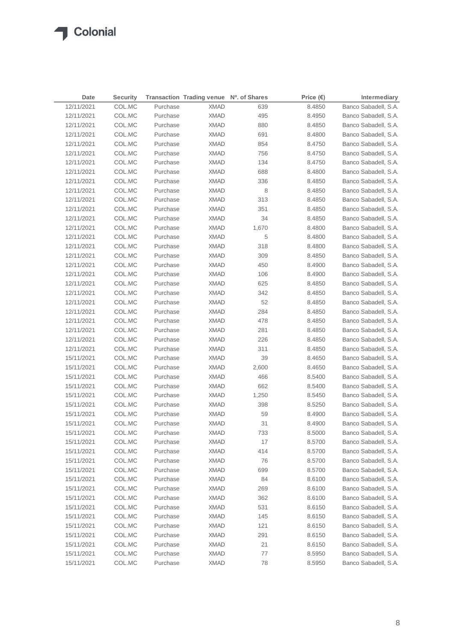| Date       | <b>Security</b> |          | Transaction Trading venue Nº. of Shares |       | Price $(\epsilon)$ | Intermediary         |
|------------|-----------------|----------|-----------------------------------------|-------|--------------------|----------------------|
| 12/11/2021 | COL.MC          | Purchase | <b>XMAD</b>                             | 639   | 8.4850             | Banco Sabadell, S.A. |
| 12/11/2021 | COL.MC          | Purchase | <b>XMAD</b>                             | 495   | 8.4950             | Banco Sabadell, S.A. |
| 12/11/2021 | COL.MC          | Purchase | <b>XMAD</b>                             | 880   | 8.4850             | Banco Sabadell, S.A. |
| 12/11/2021 | COL.MC          | Purchase | <b>XMAD</b>                             | 691   | 8.4800             | Banco Sabadell, S.A. |
| 12/11/2021 | COL.MC          | Purchase | <b>XMAD</b>                             | 854   | 8.4750             | Banco Sabadell, S.A. |
| 12/11/2021 | COL.MC          | Purchase | <b>XMAD</b>                             | 756   | 8.4750             | Banco Sabadell, S.A. |
| 12/11/2021 | COL.MC          | Purchase | XMAD                                    | 134   | 8.4750             | Banco Sabadell, S.A. |
| 12/11/2021 | COL.MC          | Purchase | XMAD                                    | 688   | 8.4800             | Banco Sabadell, S.A. |
| 12/11/2021 | COL.MC          | Purchase | XMAD                                    | 336   | 8.4850             | Banco Sabadell, S.A. |
| 12/11/2021 | COL.MC          | Purchase | <b>XMAD</b>                             | 8     | 8.4850             | Banco Sabadell, S.A. |
| 12/11/2021 | COL.MC          | Purchase | XMAD                                    | 313   | 8.4850             | Banco Sabadell, S.A. |
| 12/11/2021 | COL.MC          | Purchase | XMAD                                    | 351   | 8.4850             | Banco Sabadell, S.A. |
| 12/11/2021 | COL.MC          | Purchase | XMAD                                    | 34    | 8.4850             | Banco Sabadell, S.A. |
| 12/11/2021 | COL.MC          | Purchase | <b>XMAD</b>                             | 1,670 | 8.4800             | Banco Sabadell, S.A. |
| 12/11/2021 | COL.MC          | Purchase | XMAD                                    | 5     | 8.4800             | Banco Sabadell, S.A. |
| 12/11/2021 | COL.MC          | Purchase | <b>XMAD</b>                             | 318   | 8.4800             | Banco Sabadell, S.A. |
| 12/11/2021 | COL.MC          | Purchase | <b>XMAD</b>                             | 309   | 8.4850             | Banco Sabadell, S.A. |
| 12/11/2021 | COL.MC          | Purchase | <b>XMAD</b>                             | 450   | 8.4900             | Banco Sabadell, S.A. |
| 12/11/2021 | COL.MC          | Purchase | <b>XMAD</b>                             | 106   | 8.4900             | Banco Sabadell, S.A. |
| 12/11/2021 | COL.MC          | Purchase | XMAD                                    | 625   | 8.4850             | Banco Sabadell, S.A. |
| 12/11/2021 | COL.MC          | Purchase | XMAD                                    | 342   | 8.4850             | Banco Sabadell, S.A. |
| 12/11/2021 | COL.MC          | Purchase | XMAD                                    | 52    | 8.4850             | Banco Sabadell, S.A. |
| 12/11/2021 | COL.MC          | Purchase | XMAD                                    | 284   | 8.4850             | Banco Sabadell, S.A. |
| 12/11/2021 | COL.MC          | Purchase | XMAD                                    | 478   | 8.4850             | Banco Sabadell, S.A. |
| 12/11/2021 | COL.MC          | Purchase | <b>XMAD</b>                             | 281   | 8.4850             | Banco Sabadell, S.A. |
| 12/11/2021 | COL.MC          | Purchase | XMAD                                    | 226   | 8.4850             | Banco Sabadell, S.A. |
| 12/11/2021 | COL.MC          | Purchase | XMAD                                    | 311   | 8.4850             | Banco Sabadell, S.A. |
| 15/11/2021 | COL.MC          | Purchase | XMAD                                    | 39    | 8.4650             | Banco Sabadell, S.A. |
| 15/11/2021 | COL.MC          | Purchase | <b>XMAD</b>                             | 2,600 | 8.4650             | Banco Sabadell, S.A. |
| 15/11/2021 | COL.MC          | Purchase | <b>XMAD</b>                             | 466   | 8.5400             | Banco Sabadell, S.A. |
| 15/11/2021 | COL.MC          | Purchase | <b>XMAD</b>                             | 662   | 8.5400             | Banco Sabadell, S.A. |
| 15/11/2021 | COL.MC          | Purchase | <b>XMAD</b>                             | 1,250 | 8.5450             | Banco Sabadell, S.A. |
| 15/11/2021 | COL.MC          | Purchase | XMAD                                    | 398   | 8.5250             | Banco Sabadell, S.A. |
| 15/11/2021 | COL.MC          | Purchase | <b>XMAD</b>                             | 59    | 8.4900             | Banco Sabadell, S.A. |
| 15/11/2021 | COL.MC          | Purchase | <b>XMAD</b>                             | 31    | 8.4900             | Banco Sabadell, S.A. |
| 15/11/2021 | COL.MC          | Purchase | <b>XMAD</b>                             | 733   | 8.5000             | Banco Sabadell, S.A. |
| 15/11/2021 | COL.MC          | Purchase | <b>XMAD</b>                             | 17    | 8.5700             | Banco Sabadell, S.A. |
| 15/11/2021 | COL.MC          | Purchase | <b>XMAD</b>                             | 414   | 8.5700             | Banco Sabadell, S.A. |
| 15/11/2021 | COL.MC          | Purchase | <b>XMAD</b>                             | 76    | 8.5700             | Banco Sabadell, S.A. |
| 15/11/2021 | COL.MC          | Purchase | <b>XMAD</b>                             | 699   | 8.5700             | Banco Sabadell, S.A. |
| 15/11/2021 | COL.MC          | Purchase | <b>XMAD</b>                             | 84    | 8.6100             | Banco Sabadell, S.A. |
| 15/11/2021 | COL.MC          | Purchase | <b>XMAD</b>                             | 269   | 8.6100             | Banco Sabadell, S.A. |
| 15/11/2021 | COL.MC          | Purchase | <b>XMAD</b>                             | 362   | 8.6100             | Banco Sabadell, S.A. |
| 15/11/2021 | COL.MC          | Purchase | <b>XMAD</b>                             | 531   | 8.6150             | Banco Sabadell, S.A. |
| 15/11/2021 | COL.MC          | Purchase | <b>XMAD</b>                             | 145   | 8.6150             | Banco Sabadell, S.A. |
| 15/11/2021 | COL.MC          | Purchase | <b>XMAD</b>                             | 121   | 8.6150             | Banco Sabadell, S.A. |
| 15/11/2021 | COL.MC          | Purchase | <b>XMAD</b>                             | 291   | 8.6150             | Banco Sabadell, S.A. |
| 15/11/2021 | COL.MC          | Purchase | XMAD                                    | 21    | 8.6150             | Banco Sabadell, S.A. |
| 15/11/2021 | COL.MC          | Purchase | <b>XMAD</b>                             | 77    | 8.5950             | Banco Sabadell, S.A. |
| 15/11/2021 | COL.MC          | Purchase | <b>XMAD</b>                             | 78    | 8.5950             | Banco Sabadell, S.A. |
|            |                 |          |                                         |       |                    |                      |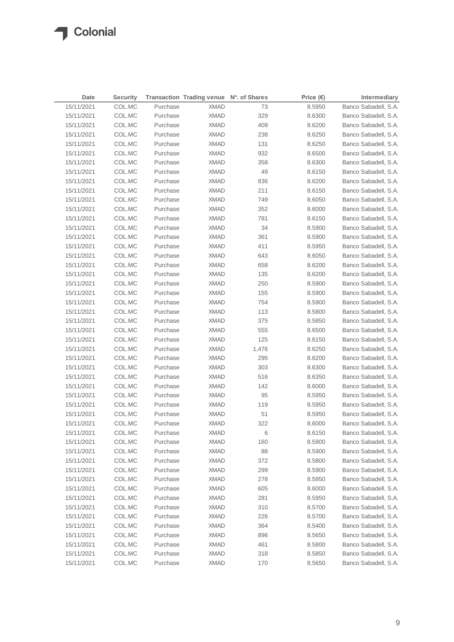| Date       | <b>Security</b> |          | Transaction Trading venue Nº. of Shares |       | Price $(\epsilon)$ | Intermediary         |
|------------|-----------------|----------|-----------------------------------------|-------|--------------------|----------------------|
| 15/11/2021 | COL.MC          | Purchase | <b>XMAD</b>                             | 73    | 8.5950             | Banco Sabadell, S.A. |
| 15/11/2021 | COL.MC          | Purchase | <b>XMAD</b>                             | 329   | 8.6300             | Banco Sabadell, S.A. |
| 15/11/2021 | COL.MC          | Purchase | <b>XMAD</b>                             | 409   | 8.6200             | Banco Sabadell, S.A. |
| 15/11/2021 | COL.MC          | Purchase | <b>XMAD</b>                             | 238   | 8.6250             | Banco Sabadell, S.A. |
| 15/11/2021 | COL.MC          | Purchase | <b>XMAD</b>                             | 131   | 8.6250             | Banco Sabadell, S.A. |
| 15/11/2021 | COL.MC          | Purchase | <b>XMAD</b>                             | 932   | 8.6500             | Banco Sabadell, S.A. |
| 15/11/2021 | COL.MC          | Purchase | XMAD                                    | 358   | 8.6300             | Banco Sabadell, S.A. |
| 15/11/2021 | COL.MC          | Purchase | <b>XMAD</b>                             | 49    | 8.6150             | Banco Sabadell, S.A. |
| 15/11/2021 | COL.MC          | Purchase | XMAD                                    | 836   | 8.6200             | Banco Sabadell, S.A. |
| 15/11/2021 | COL.MC          | Purchase | <b>XMAD</b>                             | 211   | 8.6150             | Banco Sabadell, S.A. |
| 15/11/2021 | COL.MC          | Purchase | XMAD                                    | 749   | 8.6050             | Banco Sabadell, S.A. |
| 15/11/2021 | COL.MC          | Purchase | XMAD                                    | 352   | 8.6000             | Banco Sabadell, S.A. |
| 15/11/2021 | COL.MC          | Purchase | XMAD                                    | 781   | 8.6150             | Banco Sabadell, S.A. |
| 15/11/2021 | COL.MC          | Purchase | <b>XMAD</b>                             | 34    | 8.5900             | Banco Sabadell, S.A. |
| 15/11/2021 | COL.MC          | Purchase | XMAD                                    | 361   | 8.5900             | Banco Sabadell, S.A. |
| 15/11/2021 | COL.MC          | Purchase | <b>XMAD</b>                             | 411   | 8.5950             | Banco Sabadell, S.A. |
| 15/11/2021 | COL.MC          | Purchase | <b>XMAD</b>                             | 643   | 8.6050             | Banco Sabadell, S.A. |
| 15/11/2021 | COL.MC          | Purchase | <b>XMAD</b>                             | 658   | 8.6200             | Banco Sabadell, S.A. |
| 15/11/2021 | COL.MC          | Purchase | <b>XMAD</b>                             | 135   | 8.6200             | Banco Sabadell, S.A. |
| 15/11/2021 | COL.MC          | Purchase | XMAD                                    | 250   | 8.5900             | Banco Sabadell, S.A. |
| 15/11/2021 | COL.MC          | Purchase | XMAD                                    | 155   | 8.5900             | Banco Sabadell, S.A. |
| 15/11/2021 | COL.MC          | Purchase | XMAD                                    | 754   | 8.5900             | Banco Sabadell, S.A. |
| 15/11/2021 | COL.MC          | Purchase | XMAD                                    | 113   | 8.5800             | Banco Sabadell, S.A. |
| 15/11/2021 | COL.MC          | Purchase | XMAD                                    | 375   | 8.5850             | Banco Sabadell, S.A. |
| 15/11/2021 | COL.MC          | Purchase | <b>XMAD</b>                             | 555   | 8.6500             | Banco Sabadell, S.A. |
| 15/11/2021 | COL.MC          | Purchase | XMAD                                    | 125   | 8.6150             | Banco Sabadell, S.A. |
| 15/11/2021 | COL.MC          | Purchase | <b>XMAD</b>                             | 1,476 | 8.6250             | Banco Sabadell, S.A. |
| 15/11/2021 | COL.MC          | Purchase | XMAD                                    | 295   | 8.6200             | Banco Sabadell, S.A. |
| 15/11/2021 | COL.MC          | Purchase | <b>XMAD</b>                             | 303   | 8.6300             | Banco Sabadell, S.A. |
| 15/11/2021 | COL.MC          | Purchase | <b>XMAD</b>                             | 516   | 8.6350             | Banco Sabadell, S.A. |
| 15/11/2021 | COL.MC          | Purchase | <b>XMAD</b>                             | 142   | 8.6000             | Banco Sabadell, S.A. |
| 15/11/2021 | COL.MC          | Purchase | <b>XMAD</b>                             | 95    | 8.5950             | Banco Sabadell, S.A. |
| 15/11/2021 | COL.MC          | Purchase | <b>XMAD</b>                             | 119   | 8.5950             | Banco Sabadell, S.A. |
| 15/11/2021 | COL.MC          | Purchase | <b>XMAD</b>                             | 51    | 8.5950             | Banco Sabadell, S.A. |
| 15/11/2021 | COL.MC          | Purchase | <b>XMAD</b>                             | 322   | 8.6000             | Banco Sabadell, S.A. |
| 15/11/2021 | COL.MC          | Purchase | <b>XMAD</b>                             | 6     | 8.6150             | Banco Sabadell, S.A. |
| 15/11/2021 | COL.MC          | Purchase | <b>XMAD</b>                             | 160   | 8.5900             | Banco Sabadell, S.A. |
| 15/11/2021 | COL.MC          | Purchase | <b>XMAD</b>                             | 88    | 8.5900             | Banco Sabadell, S.A. |
| 15/11/2021 | COL.MC          | Purchase | <b>XMAD</b>                             | 372   | 8.5800             | Banco Sabadell, S.A. |
| 15/11/2021 | COL.MC          | Purchase | <b>XMAD</b>                             | 299   | 8.5900             | Banco Sabadell, S.A. |
| 15/11/2021 | COL.MC          | Purchase | <b>XMAD</b>                             | 278   | 8.5950             | Banco Sabadell, S.A. |
| 15/11/2021 | COL.MC          | Purchase | <b>XMAD</b>                             | 605   | 8.6000             | Banco Sabadell, S.A. |
| 15/11/2021 | COL.MC          | Purchase | <b>XMAD</b>                             | 281   | 8.5950             | Banco Sabadell, S.A. |
| 15/11/2021 | COL.MC          | Purchase | <b>XMAD</b>                             | 310   | 8.5700             | Banco Sabadell, S.A. |
| 15/11/2021 | COL.MC          | Purchase | <b>XMAD</b>                             | 226   | 8.5700             | Banco Sabadell, S.A. |
| 15/11/2021 | COL.MC          | Purchase | <b>XMAD</b>                             | 364   | 8.5400             | Banco Sabadell, S.A. |
| 15/11/2021 | COL.MC          | Purchase | XMAD                                    | 896   | 8.5650             | Banco Sabadell, S.A. |
| 15/11/2021 | COL.MC          | Purchase | XMAD                                    | 461   | 8.5800             | Banco Sabadell, S.A. |
| 15/11/2021 | COL.MC          | Purchase | <b>XMAD</b>                             | 318   | 8.5850             | Banco Sabadell, S.A. |
| 15/11/2021 | COL.MC          | Purchase | <b>XMAD</b>                             | 170   | 8.5650             | Banco Sabadell, S.A. |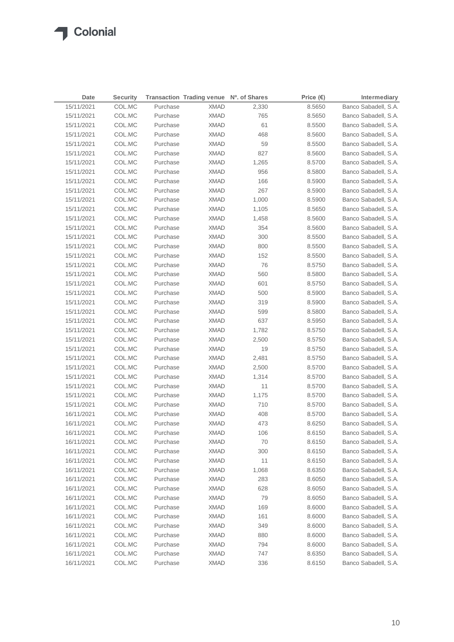$\sqrt{2}$ 

| Date       | <b>Security</b> |          | Transaction Trading venue Nº. of Shares |       | Price $(\epsilon)$ | Intermediary         |
|------------|-----------------|----------|-----------------------------------------|-------|--------------------|----------------------|
| 15/11/2021 | COL.MC          | Purchase | <b>XMAD</b>                             | 2,330 | 8.5650             | Banco Sabadell, S.A. |
| 15/11/2021 | COL.MC          | Purchase | <b>XMAD</b>                             | 765   | 8.5650             | Banco Sabadell, S.A. |
| 15/11/2021 | COL.MC          | Purchase | <b>XMAD</b>                             | 61    | 8.5500             | Banco Sabadell, S.A. |
| 15/11/2021 | COL.MC          | Purchase | <b>XMAD</b>                             | 468   | 8.5600             | Banco Sabadell, S.A. |
| 15/11/2021 | COL.MC          | Purchase | <b>XMAD</b>                             | 59    | 8.5500             | Banco Sabadell, S.A. |
| 15/11/2021 | COL.MC          | Purchase | XMAD                                    | 827   | 8.5600             | Banco Sabadell, S.A. |
| 15/11/2021 | COL.MC          | Purchase | XMAD                                    | 1,265 | 8.5700             | Banco Sabadell, S.A. |
| 15/11/2021 | COL.MC          | Purchase | <b>XMAD</b>                             | 956   | 8.5800             | Banco Sabadell, S.A. |
| 15/11/2021 | COL.MC          | Purchase | <b>XMAD</b>                             | 166   | 8.5900             | Banco Sabadell, S.A. |
| 15/11/2021 | COL.MC          | Purchase | XMAD                                    | 267   | 8.5900             | Banco Sabadell, S.A. |
| 15/11/2021 | COL.MC          | Purchase | XMAD                                    | 1,000 | 8.5900             | Banco Sabadell, S.A. |
| 15/11/2021 | COL.MC          | Purchase | XMAD                                    | 1,105 | 8.5650             | Banco Sabadell, S.A. |
| 15/11/2021 | COL.MC          | Purchase | XMAD                                    | 1,458 | 8.5600             | Banco Sabadell, S.A. |
| 15/11/2021 | COL.MC          | Purchase | XMAD                                    | 354   | 8.5600             | Banco Sabadell, S.A. |
| 15/11/2021 | COL.MC          | Purchase | XMAD                                    | 300   | 8.5500             | Banco Sabadell, S.A. |
| 15/11/2021 | COL.MC          | Purchase | <b>XMAD</b>                             | 800   | 8.5500             | Banco Sabadell, S.A. |
| 15/11/2021 | COL.MC          | Purchase | <b>XMAD</b>                             | 152   | 8.5500             | Banco Sabadell, S.A. |
| 15/11/2021 | COL.MC          | Purchase | <b>XMAD</b>                             | 76    | 8.5750             | Banco Sabadell, S.A. |
| 15/11/2021 | COL.MC          | Purchase | <b>XMAD</b>                             | 560   | 8.5800             | Banco Sabadell, S.A. |
| 15/11/2021 | COL.MC          | Purchase | XMAD                                    | 601   | 8.5750             | Banco Sabadell, S.A. |
| 15/11/2021 | COL.MC          | Purchase | XMAD                                    | 500   | 8.5900             | Banco Sabadell, S.A. |
| 15/11/2021 | COL.MC          | Purchase | <b>XMAD</b>                             | 319   | 8.5900             | Banco Sabadell, S.A. |
| 15/11/2021 | COL.MC          | Purchase | XMAD                                    | 599   | 8.5800             | Banco Sabadell, S.A. |
| 15/11/2021 | COL.MC          | Purchase | XMAD                                    | 637   | 8.5950             | Banco Sabadell, S.A. |
| 15/11/2021 | COL.MC          | Purchase | XMAD                                    | 1,782 | 8.5750             | Banco Sabadell, S.A. |
| 15/11/2021 | COL.MC          | Purchase | XMAD                                    | 2,500 | 8.5750             | Banco Sabadell, S.A. |
| 15/11/2021 | COL.MC          | Purchase | XMAD                                    | 19    | 8.5750             | Banco Sabadell, S.A. |
| 15/11/2021 | COL.MC          | Purchase | XMAD                                    | 2,481 | 8.5750             | Banco Sabadell, S.A. |
| 15/11/2021 | COL.MC          | Purchase | <b>XMAD</b>                             | 2,500 | 8.5700             | Banco Sabadell, S.A. |
| 15/11/2021 | COL.MC          | Purchase | XMAD                                    | 1,314 | 8.5700             | Banco Sabadell, S.A. |
| 15/11/2021 | COL.MC          | Purchase | <b>XMAD</b>                             | 11    | 8.5700             | Banco Sabadell, S.A. |
| 15/11/2021 | COL.MC          | Purchase | <b>XMAD</b>                             | 1,175 | 8.5700             | Banco Sabadell, S.A. |
| 15/11/2021 | COL.MC          | Purchase | XMAD                                    | 710   | 8.5700             | Banco Sabadell, S.A. |
| 16/11/2021 | COL.MC          | Purchase | <b>XMAD</b>                             | 408   | 8.5700             | Banco Sabadell, S.A. |
| 16/11/2021 | COL.MC          | Purchase | <b>XMAD</b>                             | 473   | 8.6250             | Banco Sabadell, S.A. |
| 16/11/2021 | COL.MC          | Purchase | <b>XMAD</b>                             | 106   | 8.6150             | Banco Sabadell, S.A. |
| 16/11/2021 | COL.MC          | Purchase | <b>XMAD</b>                             | 70    | 8.6150             | Banco Sabadell, S.A. |
| 16/11/2021 | COL.MC          | Purchase | <b>XMAD</b>                             | 300   | 8.6150             | Banco Sabadell, S.A. |
| 16/11/2021 | COL.MC          | Purchase | <b>XMAD</b>                             | 11    | 8.6150             | Banco Sabadell, S.A. |
| 16/11/2021 | COL.MC          | Purchase | <b>XMAD</b>                             | 1,068 | 8.6350             | Banco Sabadell, S.A. |
| 16/11/2021 | COL.MC          | Purchase | <b>XMAD</b>                             | 283   | 8.6050             | Banco Sabadell, S.A. |
| 16/11/2021 | COL.MC          | Purchase | <b>XMAD</b>                             | 628   | 8.6050             | Banco Sabadell, S.A. |
| 16/11/2021 | COL.MC          | Purchase | <b>XMAD</b>                             | 79    | 8.6050             | Banco Sabadell, S.A. |
| 16/11/2021 | COL.MC          | Purchase | <b>XMAD</b>                             | 169   | 8.6000             | Banco Sabadell, S.A. |
| 16/11/2021 | COL.MC          | Purchase | <b>XMAD</b>                             | 161   | 8.6000             | Banco Sabadell, S.A. |
| 16/11/2021 | COL.MC          | Purchase | XMAD                                    | 349   | 8.6000             | Banco Sabadell, S.A. |
| 16/11/2021 | COL.MC          | Purchase | <b>XMAD</b>                             | 880   | 8.6000             | Banco Sabadell, S.A. |
| 16/11/2021 | COL.MC          | Purchase | <b>XMAD</b>                             | 794   | 8.6000             | Banco Sabadell, S.A. |
| 16/11/2021 | COL.MC          | Purchase | XMAD                                    | 747   | 8.6350             | Banco Sabadell, S.A. |
| 16/11/2021 | COL.MC          | Purchase | <b>XMAD</b>                             | 336   | 8.6150             | Banco Sabadell, S.A. |
|            |                 |          |                                         |       |                    |                      |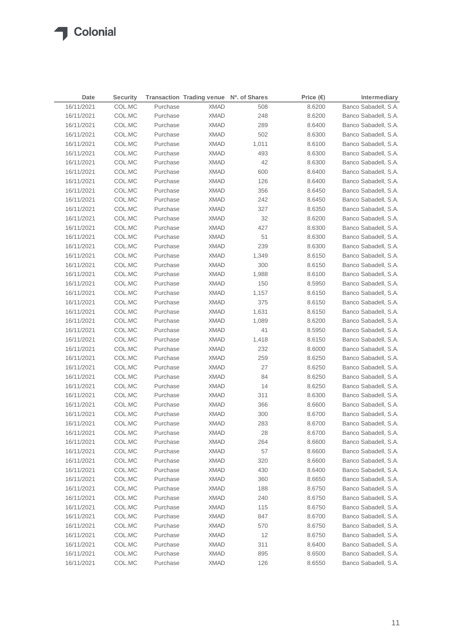| Date       | <b>Security</b> |          | Transaction Trading venue Nº. of Shares |       | Price $(\epsilon)$ | <b>Intermediary</b>  |
|------------|-----------------|----------|-----------------------------------------|-------|--------------------|----------------------|
| 16/11/2021 | COL.MC          | Purchase | <b>XMAD</b>                             | 508   | 8.6200             | Banco Sabadell, S.A. |
| 16/11/2021 | COL.MC          | Purchase | <b>XMAD</b>                             | 248   | 8.6200             | Banco Sabadell, S.A. |
| 16/11/2021 | COL.MC          | Purchase | <b>XMAD</b>                             | 289   | 8.6400             | Banco Sabadell, S.A. |
| 16/11/2021 | COL.MC          | Purchase | <b>XMAD</b>                             | 502   | 8.6300             | Banco Sabadell, S.A. |
| 16/11/2021 | COL.MC          | Purchase | XMAD                                    | 1,011 | 8.6100             | Banco Sabadell, S.A. |
| 16/11/2021 | COL.MC          | Purchase | XMAD                                    | 493   | 8.6300             | Banco Sabadell, S.A. |
| 16/11/2021 | COL.MC          | Purchase | XMAD                                    | 42    | 8.6300             | Banco Sabadell, S.A. |
| 16/11/2021 | COL.MC          | Purchase | XMAD                                    | 600   | 8.6400             | Banco Sabadell, S.A. |
| 16/11/2021 | COL.MC          | Purchase | <b>XMAD</b>                             | 126   | 8.6400             | Banco Sabadell, S.A. |
| 16/11/2021 | COL.MC          | Purchase | XMAD                                    | 356   | 8.6450             | Banco Sabadell, S.A. |
| 16/11/2021 | COL.MC          | Purchase | XMAD                                    | 242   | 8.6450             | Banco Sabadell, S.A. |
| 16/11/2021 | COL.MC          | Purchase | XMAD                                    | 327   | 8.6350             | Banco Sabadell, S.A. |
| 16/11/2021 | COL.MC          | Purchase | <b>XMAD</b>                             | 32    | 8.6200             | Banco Sabadell, S.A. |
| 16/11/2021 | COL.MC          | Purchase | <b>XMAD</b>                             | 427   | 8.6300             | Banco Sabadell, S.A. |
| 16/11/2021 | COL.MC          | Purchase | <b>XMAD</b>                             | 51    | 8.6300             | Banco Sabadell, S.A. |
| 16/11/2021 | COL.MC          | Purchase | <b>XMAD</b>                             | 239   | 8.6300             | Banco Sabadell, S.A. |
| 16/11/2021 | COL.MC          | Purchase | <b>XMAD</b>                             | 1,349 | 8.6150             | Banco Sabadell, S.A. |
| 16/11/2021 | COL.MC          | Purchase | XMAD                                    | 300   | 8.6150             | Banco Sabadell, S.A. |
| 16/11/2021 | COL.MC          | Purchase | <b>XMAD</b>                             | 1,988 | 8.6100             | Banco Sabadell, S.A. |
| 16/11/2021 | COL.MC          | Purchase | XMAD                                    | 150   | 8.5950             | Banco Sabadell, S.A. |
| 16/11/2021 | COL.MC          | Purchase | XMAD                                    | 1,157 | 8.6150             | Banco Sabadell, S.A. |
| 16/11/2021 | COL.MC          | Purchase | XMAD                                    | 375   | 8.6150             | Banco Sabadell, S.A. |
| 16/11/2021 | COL.MC          | Purchase | XMAD                                    | 1,631 | 8.6150             | Banco Sabadell, S.A. |
| 16/11/2021 | COL.MC          | Purchase | XMAD                                    | 1,089 | 8.6200             | Banco Sabadell, S.A. |
| 16/11/2021 | COL.MC          | Purchase | XMAD                                    | 41    | 8.5950             | Banco Sabadell, S.A. |
| 16/11/2021 | COL.MC          | Purchase | XMAD                                    | 1,418 | 8.6150             | Banco Sabadell, S.A. |
| 16/11/2021 | COL.MC          | Purchase | <b>XMAD</b>                             | 232   | 8.6000             | Banco Sabadell, S.A. |
| 16/11/2021 | COL.MC          | Purchase | <b>XMAD</b>                             | 259   | 8.6250             | Banco Sabadell, S.A. |
| 16/11/2021 | COL.MC          | Purchase | <b>XMAD</b>                             | 27    | 8.6250             | Banco Sabadell, S.A. |
| 16/11/2021 | COL.MC          | Purchase | <b>XMAD</b>                             | 84    | 8.6250             | Banco Sabadell, S.A. |
| 16/11/2021 | COL.MC          | Purchase | <b>XMAD</b>                             | 14    | 8.6250             | Banco Sabadell, S.A. |
| 16/11/2021 | COL.MC          | Purchase | <b>XMAD</b>                             | 311   | 8.6300             | Banco Sabadell, S.A. |
| 16/11/2021 | COL.MC          | Purchase | <b>XMAD</b>                             | 366   | 8.6600             | Banco Sabadell, S.A. |
| 16/11/2021 | COL.MC          | Purchase | <b>XMAD</b>                             | 300   | 8.6700             | Banco Sabadell, S.A. |
| 16/11/2021 | COL.MC          | Purchase | XMAD                                    | 283   | 8.6700             | Banco Sabadell, S.A. |
| 16/11/2021 | COL.MC          | Purchase | <b>XMAD</b>                             | 28    | 8.6700             | Banco Sabadell, S.A. |
| 16/11/2021 | COL.MC          | Purchase | <b>XMAD</b>                             | 264   | 8.6600             | Banco Sabadell, S.A. |
| 16/11/2021 | COL.MC          | Purchase | <b>XMAD</b>                             | 57    | 8.6600             | Banco Sabadell, S.A. |
| 16/11/2021 | COL.MC          | Purchase | <b>XMAD</b>                             | 320   | 8.6600             | Banco Sabadell, S.A. |
| 16/11/2021 | COL.MC          | Purchase | <b>XMAD</b>                             | 430   | 8.6400             | Banco Sabadell, S.A. |
| 16/11/2021 | COL.MC          | Purchase | <b>XMAD</b>                             | 360   | 8.6650             | Banco Sabadell, S.A. |
| 16/11/2021 | COL.MC          | Purchase | <b>XMAD</b>                             | 188   | 8.6750             | Banco Sabadell, S.A. |
| 16/11/2021 | COL.MC          | Purchase | <b>XMAD</b>                             | 240   | 8.6750             | Banco Sabadell, S.A. |
| 16/11/2021 | COL.MC          | Purchase | XMAD                                    | 115   | 8.6750             | Banco Sabadell, S.A. |
| 16/11/2021 | COL.MC          | Purchase | <b>XMAD</b>                             | 847   | 8.6700             | Banco Sabadell, S.A. |
| 16/11/2021 | COL.MC          | Purchase | XMAD                                    | 570   | 8.6750             | Banco Sabadell, S.A. |
| 16/11/2021 | COL.MC          | Purchase | XMAD                                    | 12    | 8.6750             | Banco Sabadell, S.A. |
| 16/11/2021 | COL.MC          | Purchase | XMAD                                    | 311   | 8.6400             | Banco Sabadell, S.A. |
| 16/11/2021 | COL.MC          | Purchase | XMAD                                    | 895   | 8.6500             | Banco Sabadell, S.A. |
| 16/11/2021 | COL.MC          | Purchase | <b>XMAD</b>                             | 126   | 8.6550             | Banco Sabadell, S.A. |